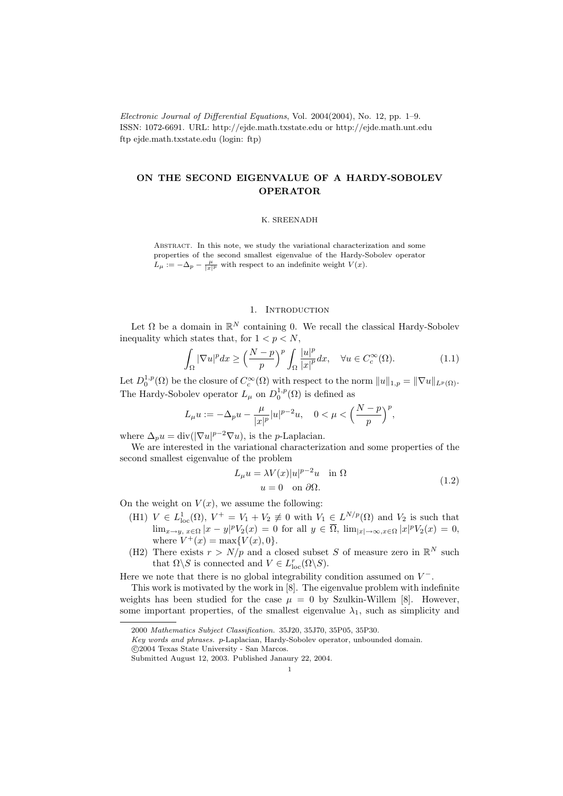Electronic Journal of Differential Equations, Vol. 2004(2004), No. 12, pp. 1–9. ISSN: 1072-6691. URL: http://ejde.math.txstate.edu or http://ejde.math.unt.edu ftp ejde.math.txstate.edu (login: ftp)

# ON THE SECOND EIGENVALUE OF A HARDY-SOBOLEV OPERATOR

### K. SREENADH

ABSTRACT. In this note, we study the variational characterization and some properties of the second smallest eigenvalue of the Hardy-Sobolev operator  $L_{\mu} := -\Delta_p - \frac{\mu}{|x|^p}$  with respect to an indefinite weight  $V(x)$ .

## 1. INTRODUCTION

Let  $\Omega$  be a domain in  $\mathbb{R}^N$  containing 0. We recall the classical Hardy-Sobolev inequality which states that, for  $1 < p < N$ ,

$$
\int_{\Omega} |\nabla u|^p dx \ge \left(\frac{N-p}{p}\right)^p \int_{\Omega} \frac{|u|^p}{|x|^p} dx, \quad \forall u \in C_c^{\infty}(\Omega). \tag{1.1}
$$

Let  $D_0^{1,p}(\Omega)$  be the closure of  $C_c^{\infty}(\Omega)$  with respect to the norm  $||u||_{1,p} = ||\nabla u||_{L^p(\Omega)}$ . The Hardy-Sobolev operator  $L_{\mu}$  on  $D_0^{1,p}(\Omega)$  is defined as

$$
L_\mu u := -\Delta_p u - \frac{\mu}{|x|^p}|u|^{p-2}u, \quad 0<\mu<\Big(\frac{N-p}{p}\Big)^p,
$$

where  $\Delta_p u = \text{div}(|\nabla u|^{p-2} \nabla u)$ , is the *p*-Laplacian.

We are interested in the variational characterization and some properties of the second smallest eigenvalue of the problem

$$
L_{\mu}u = \lambda V(x)|u|^{p-2}u \quad \text{in } \Omega
$$
  
 
$$
u = 0 \quad \text{on } \partial\Omega.
$$
 (1.2)

On the weight on  $V(x)$ , we assume the following:

- (H1)  $V \in L^1_{loc}(\Omega)$ ,  $V^+ = V_1 + V_2 \not\equiv 0$  with  $V_1 \in L^{N/p}(\Omega)$  and  $V_2$  is such that  $\lim_{x\to y, x\in\Omega} |x-y|^p V_2(x) = 0$  for all  $y \in \overline{\Omega}$ ,  $\lim_{|x|\to\infty, x\in\Omega} |x|^p V_2(x) = 0$ , where  $V^+(x) = \max\{V(x), 0\}.$
- (H2) There exists  $r > N/p$  and a closed subset S of measure zero in  $\mathbb{R}^N$  such that  $\Omega \backslash S$  is connected and  $V \in L_{\text{loc}}^r(\Omega \backslash S)$ .

Here we note that there is no global integrability condition assumed on  $V^-$ .

This work is motivated by the work in [8]. The eigenvalue problem with indefinite weights has been studied for the case  $\mu = 0$  by Szulkin-Willem [8]. However, some important properties, of the smallest eigenvalue  $\lambda_1$ , such as simplicity and

<sup>2000</sup> Mathematics Subject Classification. 35J20, 35J70, 35P05, 35P30.

Key words and phrases. p-Laplacian, Hardy-Sobolev operator, unbounded domain.

c 2004 Texas State University - San Marcos.

Submitted August 12, 2003. Published Janaury 22, 2004.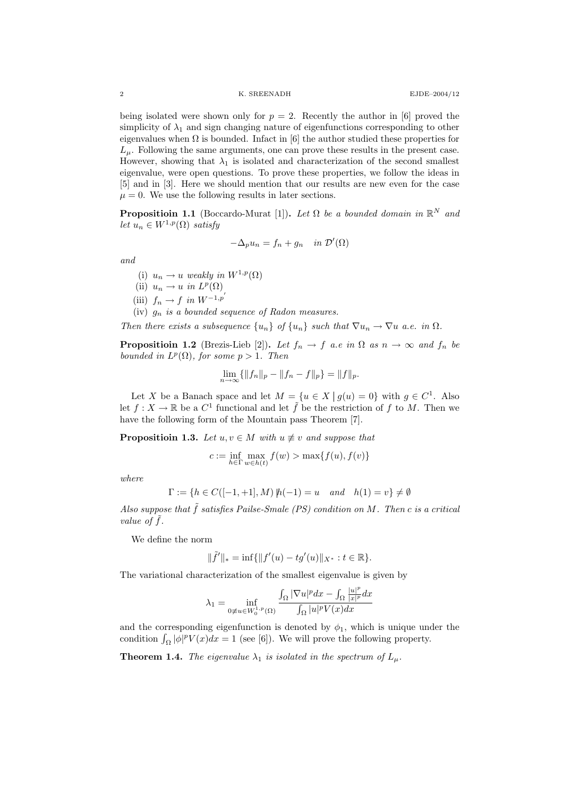being isolated were shown only for  $p = 2$ . Recently the author in [6] proved the simplicity of  $\lambda_1$  and sign changing nature of eigenfunctions corresponding to other eigenvalues when  $\Omega$  is bounded. Infact in [6] the author studied these properties for  $L_{\mu}$ . Following the same arguments, one can prove these results in the present case. However, showing that  $\lambda_1$  is isolated and characterization of the second smallest eigenvalue, were open questions. To prove these properties, we follow the ideas in [5] and in [3]. Here we should mention that our results are new even for the case  $\mu = 0$ . We use the following results in later sections.

**Propositioin 1.1** (Boccardo-Murat [1]). Let  $\Omega$  be a bounded domain in  $\mathbb{R}^N$  and let  $u_n \in W^{1,p}(\Omega)$  satisfy

$$
-\Delta_p u_n = f_n + g_n \quad in \ \mathcal{D}'(\Omega)
$$

and

- (i)  $u_n \to u$  weakly in  $W^{1,p}(\Omega)$
- (ii)  $u_n \to u$  in  $L^p(\Omega)$
- (iii)  $f_n \to f$  in  $W^{-1,p'}$
- (iv)  $g_n$  is a bounded sequence of Radon measures.

Then there exists a subsequence  $\{u_n\}$  of  $\{u_n\}$  such that  $\nabla u_n \to \nabla u$  a.e. in  $\Omega$ .

**Propositioin 1.2** (Brezis-Lieb [2]). Let  $f_n \to f$  a.e in  $\Omega$  as  $n \to \infty$  and  $f_n$  be bounded in  $L^p(\Omega)$ , for some  $p > 1$ . Then

$$
\lim_{n \to \infty} \{ ||f_n||_p - ||f_n - f||_p \} = ||f||_p.
$$

Let X be a Banach space and let  $M = \{u \in X \mid g(u) = 0\}$  with  $g \in C^1$ . Also let  $f: X \to \mathbb{R}$  be a  $C^1$  functional and let  $\tilde{f}$  be the restriction of f to M. Then we have the following form of the Mountain pass Theorem [7].

**Propositioin 1.3.** Let  $u, v \in M$  with  $u \not\equiv v$  and suppose that

$$
c := \inf_{h \in \Gamma} \max_{w \in h(t)} f(w) > \max\{f(u), f(v)\}
$$

where

$$
\Gamma := \{ h \in C([-1, +1], M) \mid h(-1) = u \quad and \quad h(1) = v \} \neq \emptyset
$$

Also suppose that  $\tilde{f}$  satisfies Pailse-Smale (PS) condition on M. Then c is a critical value of  $\tilde{f}$ .

We define the norm

$$
\|\tilde{f}'\|_{*} = \inf\{\|f'(u) - tg'(u)\|_{X^{*}} : t \in \mathbb{R}\}.
$$

The variational characterization of the smallest eigenvalue is given by

$$
\lambda_1=\inf_{0\not\equiv u\in W_0^{1,p}(\Omega)}\frac{\int_{\Omega}|\nabla u|^pdx-\int_{\Omega}\frac{|u|^p}{|x|^p}dx}{\int_{\Omega}|u|^pV(x)dx}
$$

and the corresponding eigenfunction is denoted by  $\phi_1$ , which is unique under the condition  $\int_{\Omega} |\phi|^p V(x) dx = 1$  (see [6]). We will prove the following property.

**Theorem 1.4.** The eigenvalue  $\lambda_1$  is isolated in the spectrum of  $L_\mu$ .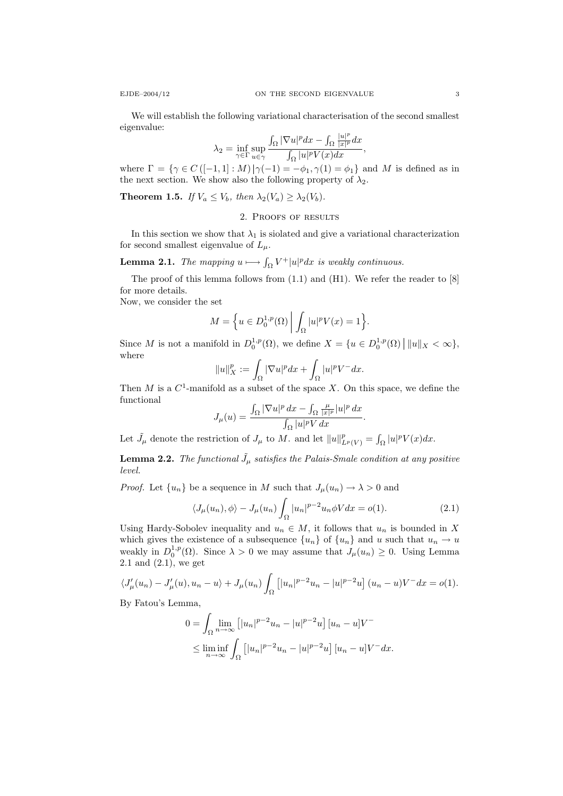We will establish the following variational characterisation of the second smallest eigenvalue:

$$
\lambda_2 = \inf_{\gamma \in \Gamma} \sup_{u \in \gamma} \frac{\int_{\Omega} |\nabla u|^p dx - \int_{\Omega} \frac{|u|^p}{|x|^p} dx}{\int_{\Omega} |u|^p V(x) dx},
$$

where  $\Gamma = \{ \gamma \in C \left( [-1,1] : M \right) | \gamma(-1) = -\phi_1, \gamma(1) = \phi_1 \}$  and M is defined as in the next section. We show also the following property of  $\lambda_2$ .

**Theorem 1.5.** If  $V_a \leq V_b$ , then  $\lambda_2(V_a) \geq \lambda_2(V_b)$ .

## 2. Proofs of results

In this section we show that  $\lambda_1$  is siolated and give a variational characterization for second smallest eigenvalue of  $L_{\mu}$ .

**Lemma 2.1.** The mapping  $u \mapsto \int_{\Omega} V^+ |u|^p dx$  is weakly continuous.

The proof of this lemma follows from (1.1) and (H1). We refer the reader to [8] for more details.

Now, we consider the set

$$
M = \left\{ u \in D_0^{1,p}(\Omega) \middle| \int_{\Omega} |u|^p V(x) = 1 \right\}.
$$

Since M is not a manifold in  $D_0^{1,p}(\Omega)$ , we define  $X = \{u \in D_0^{1,p}(\Omega) \mid ||u||_X < \infty \}$ , where

$$
||u||_X^p := \int_{\Omega} |\nabla u|^p dx + \int_{\Omega} |u|^p V^- dx.
$$

Then  $M$  is a  $C^1$ -manifold as a subset of the space  $X$ . On this space, we define the functional

$$
J_\mu(u)=\frac{\int_\Omega|\nabla u|^p\,dx-\int_\Omega\frac{\mu}{|x|^p}|u|^p\,dx}{\int_\Omega|u|^pV\,dx}.
$$

Let  $\tilde{J}_{\mu}$  denote the restriction of  $J_{\mu}$  to M. and let  $||u||_{L^{p}(V)}^{p} = \int_{\Omega} |u|^{p} V(x) dx$ .

**Lemma 2.2.** The functional  $\tilde{J}_{\mu}$  satisfies the Palais-Smale condition at any positive level.

*Proof.* Let  $\{u_n\}$  be a sequence in M such that  $J_\mu(u_n) \to \lambda > 0$  and

$$
\langle J_{\mu}(u_n), \phi \rangle - J_{\mu}(u_n) \int_{\Omega} |u_n|^{p-2} u_n \phi V dx = o(1). \tag{2.1}
$$

Using Hardy-Sobolev inequality and  $u_n \in M$ , it follows that  $u_n$  is bounded in X which gives the existence of a subsequence  ${u_n}$  of  ${u_n}$  and u such that  $u_n \to u$ weakly in  $D_0^{1,p}(\Omega)$ . Since  $\lambda > 0$  we may assume that  $J_\mu(u_n) \geq 0$ . Using Lemma  $2.1$  and  $(2.1)$ , we get

$$
\langle J'_{\mu}(u_{n}) - J'_{\mu}(u), u_{n} - u \rangle + J_{\mu}(u_{n}) \int_{\Omega} \left[ |u_{n}|^{p-2} u_{n} - |u|^{p-2} u \right] (u_{n} - u) V^{-} dx = o(1).
$$

By Fatou's Lemma,

$$
0 = \int_{\Omega} \lim_{n \to \infty} \left[ |u_n|^{p-2} u_n - |u|^{p-2} u \right] [u_n - u] V^{-}
$$
  

$$
\leq \liminf_{n \to \infty} \int_{\Omega} \left[ |u_n|^{p-2} u_n - |u|^{p-2} u \right] [u_n - u] V^{-} dx.
$$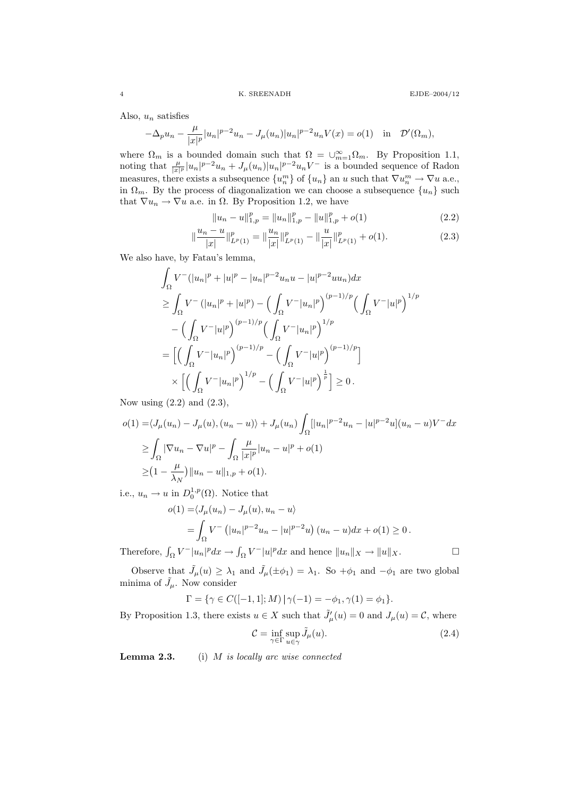Also,  $u_n$  satisfies

$$
-\Delta_p u_n - \frac{\mu}{|x|^p} |u_n|^{p-2} u_n - J_\mu(u_n) |u_n|^{p-2} u_n V(x) = o(1) \text{ in } \mathcal{D}'(\Omega_m),
$$

where  $\Omega_m$  is a bounded domain such that  $\Omega = \bigcup_{m=1}^{\infty} \Omega_m$ . By Proposition 1.1, noting that  $\frac{\mu}{|x|^p}|u_n|^{p-2}u_n + J_\mu(u_n)|u_n|^{p-2}u_nV$  is a bounded sequence of Radon measures, there exists a subsequence  ${u_n^m}$  of  ${u_n}$  an u such that  $\nabla u_n^m \to \nabla u$  a.e., in  $\Omega_m$ . By the process of diagonalization we can choose a subsequence  $\{u_n\}$  such that  $\nabla u_n \to \nabla u$  a.e. in  $\Omega$ . By Proposition 1.2, we have

$$
||u_n - u||_{1,p}^p = ||u_n||_{1,p}^p - ||u||_{1,p}^p + o(1)
$$
\n(2.2)

$$
\left\|\frac{u_n - u}{|x|}\right\|_{L^p(1)}^p = \left\|\frac{u_n}{|x|}\right\|_{L^p(1)}^p - \left\|\frac{u}{|x|}\right\|_{L^p(1)}^p + o(1). \tag{2.3}
$$

We also have, by Fatau's lemma,

$$
\int_{\Omega} V^{-}(|u_{n}|^{p} + |u|^{p} - |u_{n}|^{p-2}u_{n}u - |u|^{p-2}uu_{n})dx
$$
\n
$$
\geq \int_{\Omega} V^{-}(|u_{n}|^{p} + |u|^{p}) - \left(\int_{\Omega} V^{-}|u_{n}|^{p}\right)^{(p-1)/p} \left(\int_{\Omega} V^{-}|u|^{p}\right)^{1/p}
$$
\n
$$
- \left(\int_{\Omega} V^{-}|u|^{p}\right)^{(p-1)/p} \left(\int_{\Omega} V^{-}|u_{n}|^{p}\right)^{1/p}
$$
\n
$$
= \left[\left(\int_{\Omega} V^{-}|u_{n}|^{p}\right)^{(p-1)/p} - \left(\int_{\Omega} V^{-}|u|^{p}\right)^{(p-1)/p}\right]
$$
\n
$$
\times \left[\left(\int_{\Omega} V^{-}|u_{n}|^{p}\right)^{1/p} - \left(\int_{\Omega} V^{-}|u|^{p}\right)^{\frac{1}{p}}\right] \geq 0.
$$
\n(2.2)

Now using  $(2.2)$  and  $(2.3)$ ,

$$
o(1) = \langle J_{\mu}(u_n) - J_{\mu}(u), (u_n - u) \rangle + J_{\mu}(u_n) \int_{\Omega} [|u_n|^{p-2} u_n - |u|^{p-2} u] (u_n - u) V^{-} dx
$$
  
\n
$$
\geq \int_{\Omega} |\nabla u_n - \nabla u|^p - \int_{\Omega} \frac{\mu}{|x|^p} |u_n - u|^p + o(1)
$$
  
\n
$$
\geq (1 - \frac{\mu}{\lambda_N}) ||u_n - u||_{1,p} + o(1).
$$

i.e.,  $u_n \to u$  in  $D_0^{1,p}(\Omega)$ . Notice that

$$
o(1) = \langle J_{\mu}(u_n) - J_{\mu}(u), u_n - u \rangle
$$
  
=  $\int_{\Omega} V^{-} (|u_n|^{p-2} u_n - |u|^{p-2} u) (u_n - u) dx + o(1) \ge 0.$ 

Therefore,  $\int_{\Omega} V^-|u_n|^p dx \to \int_{\Omega} V^-|u|^p dx$  and hence  $||u_n||_X \to ||u||_X$ .

Observe that  $\tilde{J}_{\mu}(u) \geq \lambda_1$  and  $\tilde{J}_{\mu}(\pm \phi_1) = \lambda_1$ . So  $+\phi_1$  and  $-\phi_1$  are two global minima of  $\tilde{J}_{\mu}$ . Now consider

$$
\Gamma = \{ \gamma \in C([-1,1];M) \, | \, \gamma(-1) = -\phi_1, \gamma(1) = \phi_1 \}.
$$

By Proposition 1.3, there exists  $u \in X$  such that  $\tilde{J}'_{\mu}(u) = 0$  and  $J_{\mu}(u) = \mathcal{C}$ , where

$$
\mathcal{C} = \inf_{\gamma \in \Gamma} \sup_{u \in \gamma} \tilde{J}_{\mu}(u). \tag{2.4}
$$

**Lemma 2.3.** (i)  $M$  is locally arc wise connected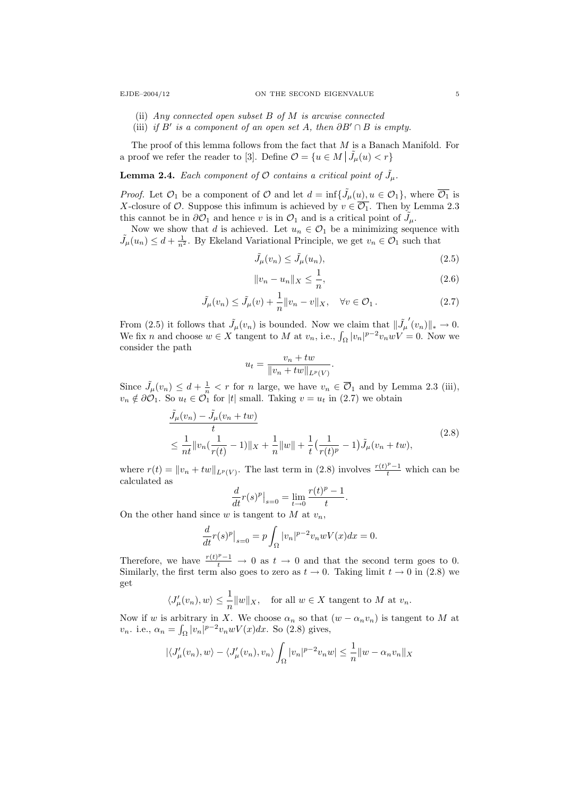- (ii) Any connected open subset B of M is arcwise connected
- (iii) if B' is a component of an open set A, then  $\partial B' \cap B$  is empty.

The proof of this lemma follows from the fact that M is a Banach Manifold. For a proof we refer the reader to [3]. Define  $\mathcal{O} = \{u \in M \mid \tilde{J}_{\mu}(u) < r\}$ 

**Lemma 2.4.** Each component of  $\mathcal O$  contains a critical point of  $\tilde{J}_{\mu}$ .

*Proof.* Let  $\mathcal{O}_1$  be a component of  $\mathcal O$  and let  $d = \inf\{\tilde{J}_\mu(u), u \in \mathcal{O}_1\}$ , where  $\overline{\mathcal{O}_1}$  is X-closure of  $\mathcal O$ . Suppose this infimum is achieved by  $v \in \overline{\mathcal O_1}$ . Then by Lemma 2.3 this cannot be in  $\partial\mathcal{O}_1$  and hence v is in  $\mathcal{O}_1$  and is a critical point of  $\tilde{J}_{\mu}$ .

Now we show that d is achieved. Let  $u_n \in \mathcal{O}_1$  be a minimizing sequence with  $\tilde{J}_{\mu}(u_n) \leq d + \frac{1}{n^2}$ . By Ekeland Variational Principle, we get  $v_n \in \mathcal{O}_1$  such that

$$
\tilde{J}_{\mu}(v_n) \le \tilde{J}_{\mu}(u_n),\tag{2.5}
$$

$$
||v_n - u_n||_X \le \frac{1}{n},
$$
\n(2.6)

$$
\tilde{J}_{\mu}(v_n) \le \tilde{J}_{\mu}(v) + \frac{1}{n} ||v_n - v||_X, \quad \forall v \in \mathcal{O}_1.
$$
\n(2.7)

From (2.5) it follows that  $\tilde{J}_{\mu}(v_n)$  is bounded. Now we claim that  $\|\tilde{J}_{\mu}\|$  $'(v_n)\|_* \to 0.$ We fix *n* and choose  $w \in X$  tangent to *M* at  $v_n$ , i.e.,  $\int_{\Omega} |v_n|^{p-2} v_n w V = 0$ . Now we consider the path

$$
u_t = \frac{v_n + tw}{\|v_n + tw\|_{L^p(V)}}.
$$

Since  $\tilde{J}_{\mu}(v_n) \leq d + \frac{1}{n} < r$  for n large, we have  $v_n \in \overline{\mathcal{O}}_1$  and by Lemma 2.3 (iii),  $v_n \notin \partial \mathcal{O}_1$ . So  $u_t \in \mathcal{O}_1$  for |t| small. Taking  $v = u_t$  in (2.7) we obtain

$$
\frac{\tilde{J}_{\mu}(v_{n}) - \tilde{J}_{\mu}(v_{n} + tw)}{t} \leq \frac{1}{nt} \|v_{n}(\frac{1}{r(t)} - 1)\|_{X} + \frac{1}{n} \|w\| + \frac{1}{t} \left(\frac{1}{r(t)^{p}} - 1\right) \tilde{J}_{\mu}(v_{n} + tw),
$$
\n(2.8)

.

where  $r(t) = ||v_n + tw||_{L^p(V)}$ . The last term in (2.8) involves  $\frac{r(t)^{p}-1}{t}$  which can be calculated as

$$
\frac{d}{dt}r(s)^p\big|_{s=0}=\lim_{t\to 0}\frac{r(t)^p-1}{t}
$$

On the other hand since w is tangent to M at  $v_n$ ,

$$
\frac{d}{dt}r(s)^p\big|_{s=0}=p\int_{\Omega}|v_n|^{p-2}v_nwV(x)dx=0.
$$

Therefore, we have  $\frac{r(t)^p-1}{t} \to 0$  as  $t \to 0$  and that the second term goes to 0. Similarly, the first term also goes to zero as  $t \to 0$ . Taking limit  $t \to 0$  in (2.8) we get

$$
\langle J'_{\mu}(v_n), w \rangle \leq \frac{1}{n} ||w||_X
$$
, for all  $w \in X$  tangent to M at  $v_n$ .

Now if w is arbitrary in X. We choose  $\alpha_n$  so that  $(w - \alpha_n v_n)$  is tangent to M at  $v_n$ . i.e.,  $\alpha_n = \int_{\Omega} |v_n|^{p-2} v_n w V(x) dx$ . So (2.8) gives,

$$
|\langle J'_{\mu}(v_n), w \rangle - \langle J'_{\mu}(v_n), v_n \rangle \int_{\Omega} |v_n|^{p-2} v_n w| \leq \frac{1}{n} ||w - \alpha_n v_n||_X
$$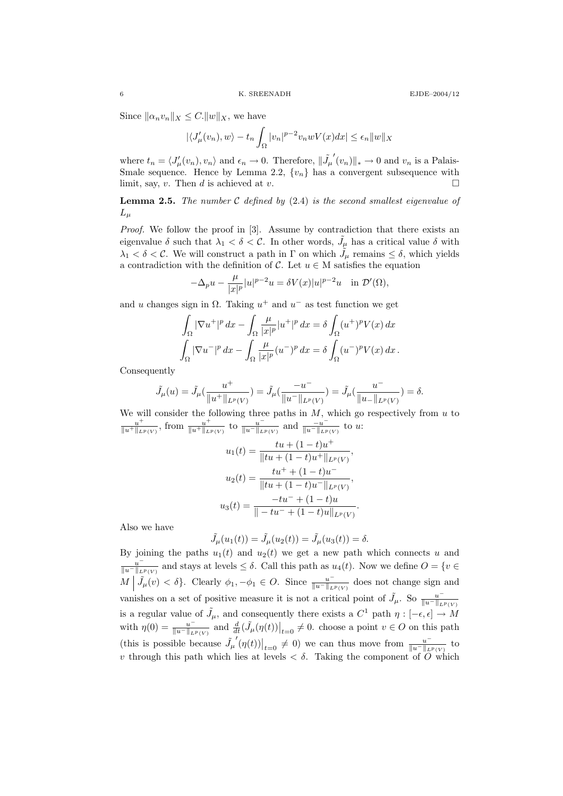Since  $\|\alpha_n v_n\|_X \leq C.\|w\|_X$ , we have

$$
|\langle J'_{\mu}(v_n), w \rangle - t_n \int_{\Omega} |v_n|^{p-2} v_n w V(x) dx| \le \epsilon_n ||w||_X
$$

where  $t_n = \langle J'_{\mu}(v_n), v_n \rangle$  and  $\epsilon_n \to 0$ . Therefore,  $\|\tilde{J}_{\mu}\|$  $(v_n)$ <sub>\*</sub> → 0 and  $v_n$  is a Palais-Smale sequence. Hence by Lemma 2.2,  $\{v_n\}$  has a convergent subsequence with limit, say,  $v$ . Then  $d$  is achieved at  $v$ .

**Lemma 2.5.** The number  $C$  defined by (2.4) is the second smallest eigenvalue of  $L_\mu$ 

Proof. We follow the proof in [3]. Assume by contradiction that there exists an eigenvalue  $\delta$  such that  $\lambda_1 < \delta < C$ . In other words,  $\tilde{J}_{\mu}$  has a critical value  $\delta$  with  $\lambda_1 < \delta < C$ . We will construct a path in  $\Gamma$  on which  $\tilde{J}_{\mu}$  remains  $\leq \delta$ , which yields a contradiction with the definition of  $\mathcal{C}$ . Let  $u \in M$  satisfies the equation

$$
-\Delta_p u - \frac{\mu}{|x|^p} |u|^{p-2} u = \delta V(x) |u|^{p-2} u \quad \text{in } \mathcal{D}'(\Omega),
$$

and u changes sign in  $\Omega$ . Taking  $u^+$  and  $u^-$  as test function we get

$$
\int_{\Omega} |\nabla u^+|^p \, dx - \int_{\Omega} \frac{\mu}{|x|^p} |u^+|^p \, dx = \delta \int_{\Omega} (u^+)^p V(x) \, dx
$$

$$
\int_{\Omega} |\nabla u^-|^p \, dx - \int_{\Omega} \frac{\mu}{|x|^p} (u^-)^p \, dx = \delta \int_{\Omega} (u^-)^p V(x) \, dx.
$$

Consequently

$$
\tilde{J}_{\mu}(u)=\tilde{J}_{\mu}(\frac{u^{+}}{\|u^{+}\|_{L^{p}(V)}})=\tilde{J}_{\mu}(\frac{-u^{-}}{\|u^{-}\|_{L^{p}(V)}})=\tilde{J}_{\mu}(\frac{u^{-}}{\|u_{-}\|_{L^{p}(V)}})=\delta.
$$

We will consider the following three paths in  $M$ , which go respectively from  $u$  to  $u^+$  $\frac{u^+}{\|u^+\|_{L^p(V)}}$ , from  $\frac{u^+}{\|u^+\|_{L^p}}$  $\frac{u^+}{\|u^+\|_{L^p(V)}}$  to  $\frac{u^-}{\|u^-\|_{L^p}}$  $\frac{u^-}{\|u^-\|_{L^p(V)}}$  and  $\frac{-u^-}{\|u^-\|_{L^p}}$  $\frac{-u}{\|u^-\|_{L^p(V)}}$  to u:

$$
u_1(t) = \frac{tu + (1-t)u^+}{\|tu + (1-t)u^+\|_{L^p(V)}},
$$

$$
u_2(t) = \frac{tu^+ + (1-t)u^-}{\|tu + (1-t)u^-\|_{L^p(V)}},
$$

$$
u_3(t) = \frac{-tu^- + (1-t)u}{\| - tu^- + (1-t)u\|_{L^p(V)}}.
$$

Also we have

$$
\tilde{J}_{\mu}(u_1(t)) = \tilde{J}_{\mu}(u_2(t)) = \tilde{J}_{\mu}(u_3(t)) = \delta.
$$

By joining the paths  $u_1(t)$  and  $u_2(t)$  we get a new path which connects u and  $u^ \frac{u}{\|u^-\|_{L^p(V)}}$  and stays at levels  $\leq \delta$ . Call this path as  $u_4(t)$ . Now we define  $O = \{v \in$  $M \mid \tilde{J}_{\mu}(v) < \delta$ . Clearly  $\phi_1, -\phi_1 \in O$ . Since  $\frac{u^{-1}}{\|u^{-1}\|_{L}}$  $\frac{u}{\|u^-\|_{L^p(V)}}$  does not change sign and vanishes on a set of positive measure it is not a critical point of  $\tilde{J}_{\mu}$ . So  $\frac{u^{-1}}{\|u^{-1}\|_{L}}$  $||u-||_{L^p(V)}$ is a regular value of  $\tilde{J}_{\mu}$ , and consequently there exists a  $C^1$  path  $\eta: [-\epsilon, \epsilon] \to M$ with  $\eta(0) = \frac{u^{-1}}{\|u^{-1}\|_{L}}$  $\frac{u^-}{\|u^-\|_{L^p(V)}}$  and  $\frac{d}{dt}(\tilde{J}_\mu(\eta(t))\big|_{t=0}\neq 0$ . choose a point  $v\in O$  on this path (this is possible because  $\tilde{J}_{\mu}$  $\left\langle \left( \eta(t) \right) \right|_{t=0} \neq 0$  we can thus move from  $\frac{u^{-1}}{\|u^{-1}\|_{L}}$  $\frac{u}{\|u^-\|_{L^p(V)}}$  to v through this path which lies at levels  $\langle \delta \rangle$ . Taking the component of  $\overline{O}$  which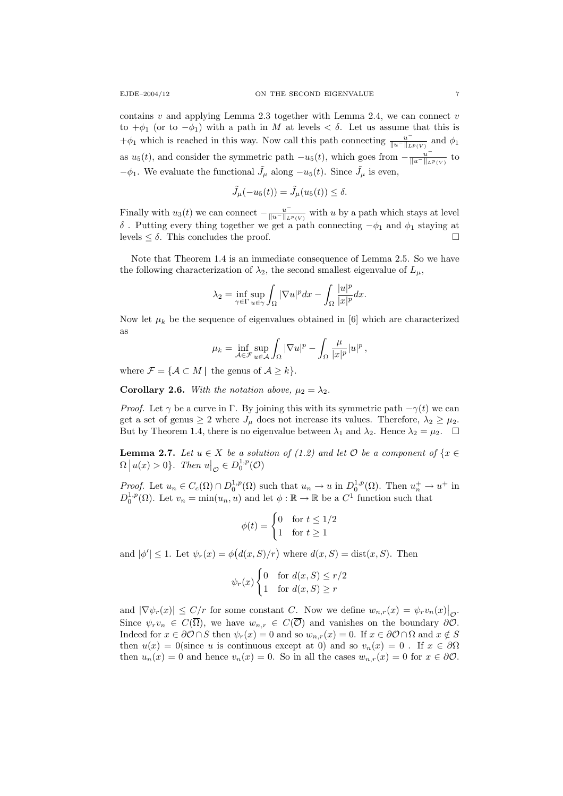contains v and applying Lemma 2.3 together with Lemma 2.4, we can connect v to  $+\phi_1$  (or to  $-\phi_1$ ) with a path in M at levels  $\lt \delta$ . Let us assume that this is  $+\phi_1$  which is reached in this way. Now call this path connecting  $\frac{u}{\|u\|_{L}}$  $\frac{u}{\|u^-\|_{L^p(V)}}$  and  $\phi_1$ as  $u_5(t)$ , and consider the symmetric path  $-u_5(t)$ , which goes from  $-\frac{u}{\|u_5\|_L}$  $\frac{u}{\|u^-\|_{L^p(V)}}$  to  $-\phi_1$ . We evaluate the functional  $\tilde{J}_{\mu}$  along  $-u_5(t)$ . Since  $\tilde{J}_{\mu}$  is even,

$$
\tilde{J}_{\mu}(-u_5(t)) = \tilde{J}_{\mu}(u_5(t)) \le \delta.
$$

Finally with  $u_3(t)$  we can connect  $-\frac{u^{-1}}{||u^{-}||_{L}}$  $\frac{u}{\|u^-\|_{L^p(V)}}$  with u by a path which stays at level δ. Putting every thing together we get a path connecting  $-\phi_1$  and  $\phi_1$  staying at levels  $\leq \delta$ . This concludes the proof.

Note that Theorem 1.4 is an immediate consequence of Lemma 2.5. So we have the following characterization of  $\lambda_2$ , the second smallest eigenvalue of  $L_\mu$ ,

$$
\lambda_2 = \inf_{\gamma \in \Gamma} \sup_{u \in \gamma} \int_{\Omega} |\nabla u|^p dx - \int_{\Omega} \frac{|u|^p}{|x|^p} dx.
$$

Now let  $\mu_k$  be the sequence of eigenvalues obtained in [6] which are characterized as

$$
\mu_k = \inf_{\mathcal{A} \in \mathcal{F}} \sup_{u \in \mathcal{A}} \int_{\Omega} |\nabla u|^p - \int_{\Omega} \frac{\mu}{|x|^p} |u|^p,
$$

where  $\mathcal{F} = \{ \mathcal{A} \subset M \mid \text{ the genus of } \mathcal{A} \geq k \}.$ 

**Corollary 2.6.** With the notation above,  $\mu_2 = \lambda_2$ .

*Proof.* Let  $\gamma$  be a curve in Γ. By joining this with its symmetric path  $-\gamma(t)$  we can get a set of genus  $\geq 2$  where  $J_{\mu}$  does not increase its values. Therefore,  $\lambda_2 \geq \mu_2$ . But by Theorem 1.4, there is no eigenvalue between  $\lambda_1$  and  $\lambda_2$ . Hence  $\lambda_2 = \mu_2$ .  $\Box$ 

**Lemma 2.7.** Let  $u \in X$  be a solution of (1.2) and let  $\mathcal{O}$  be a component of  $\{x \in$  $\Omega |u(x) > 0\}$ . Then  $u|_{\mathcal{O}} \in D_0^{1,p}(\mathcal{O})$ 

*Proof.* Let  $u_n \in C_c(\Omega) \cap D_0^{1,p}(\Omega)$  such that  $u_n \to u$  in  $D_0^{1,p}(\Omega)$ . Then  $u_n^+ \to u^+$  in  $D_0^{1,p}(\Omega)$ . Let  $v_n = \min(u_n, u)$  and let  $\phi : \mathbb{R} \to \mathbb{R}$  be a  $C^1$  function such that

$$
\phi(t) = \begin{cases} 0 & \text{for } t \le 1/2 \\ 1 & \text{for } t \ge 1 \end{cases}
$$

and  $|\phi'| \leq 1$ . Let  $\psi_r(x) = \phi(d(x, S)/r)$  where  $d(x, S) = \text{dist}(x, S)$ . Then

$$
\psi_r(x) \begin{cases} 0 & \text{for } d(x, S) \le r/2 \\ 1 & \text{for } d(x, S) \ge r \end{cases}
$$

and  $|\nabla \psi_r(x)| \leq C/r$  for some constant C. Now we define  $w_{n,r}(x) = \psi_r v_n(x)|_{\mathcal{O}}$ . Since  $\psi_r v_n \in C(\overline{\Omega})$ , we have  $w_{n,r} \in C(\overline{\mathcal{O}})$  and vanishes on the boundary  $\partial \overline{\mathcal{O}}$ . Indeed for  $x \in \partial \mathcal{O} \cap S$  then  $\psi_r(x) = 0$  and so  $w_{n,r}(x) = 0$ . If  $x \in \partial \mathcal{O} \cap \Omega$  and  $x \notin S$ then  $u(x) = 0$ (since u is continuous except at 0) and so  $v_n(x) = 0$ . If  $x \in \partial\Omega$ then  $u_n(x) = 0$  and hence  $v_n(x) = 0$ . So in all the cases  $w_{n,r}(x) = 0$  for  $x \in \partial \mathcal{O}$ .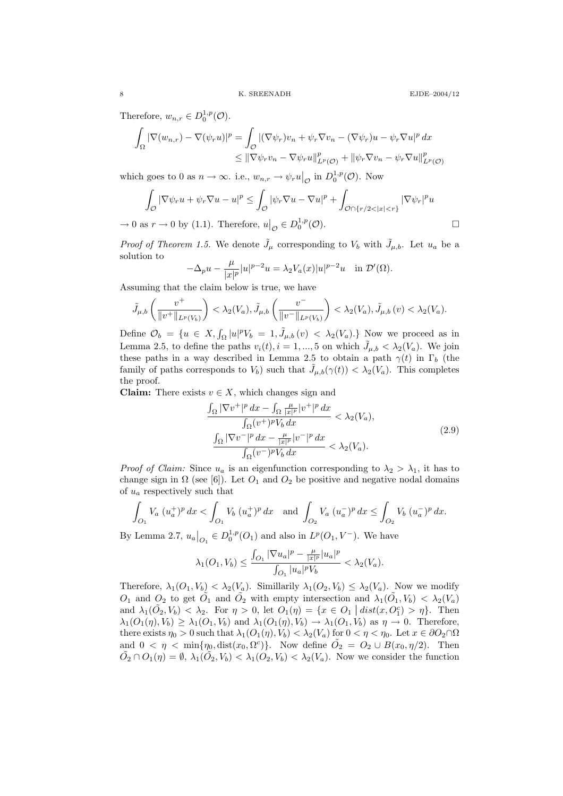Therefore,  $w_{n,r} \in D_0^{1,p}(\mathcal{O})$ .

$$
\int_{\Omega} |\nabla(w_{n,r}) - \nabla(\psi_r u)|^p = \int_{\mathcal{O}} |(\nabla \psi_r)v_n + \psi_r \nabla v_n - (\nabla \psi_r)u - \psi_r \nabla u|^p dx
$$
  
\n
$$
\leq ||\nabla \psi_r v_n - \nabla \psi_r u||^p_{L^p(\mathcal{O})} + ||\psi_r \nabla v_n - \psi_r \nabla u||^p_{L^p(\mathcal{O})}
$$

which goes to 0 as  $n \to \infty$ . i.e.,  $w_{n,r} \to \psi_r u|_{\mathcal{O}}$  in  $D_0^{1,p}(\mathcal{O})$ . Now

$$
\int_{\mathcal{O}} |\nabla \psi_r u + \psi_r \nabla u - u|^p \le \int_{\mathcal{O}} |\psi_r \nabla u - \nabla u|^p + \int_{\mathcal{O} \cap \{r/2 < |x| < r\}} |\nabla \psi_r|^p u
$$
  
as  $r \to 0$  by (1.1). Therefore,  $u|_{\mathcal{O}} \in D_0^{1,p}(\mathcal{O})$ .

 $\rightarrow 0$  as  $r \rightarrow 0$  by (1.1). Therefore,  $u|_{\mathcal{O}} \in D_0^{1,p}$ 

*Proof of Theorem 1.5.* We denote  $\tilde{J}_{\mu}$  corresponding to  $V_b$  with  $\tilde{J}_{\mu,b}$ . Let  $u_a$  be a solution to

$$
-\Delta_p u - \frac{\mu}{|x|^p}|u|^{p-2}u = \lambda_2 V_a(x)|u|^{p-2}u \quad \text{in } \mathcal{D}'(\Omega).
$$

Assuming that the claim below is true, we have

$$
\tilde{J}_{\mu,b}\left(\frac{v^+}{\|v^+\|_{L^p(V_b)}}\right) < \lambda_2(V_a), \tilde{J}_{\mu,b}\left(\frac{v^-}{\|v^-\|_{L^p(V_b)}}\right) < \lambda_2(V_a), \tilde{J}_{\mu,b}\left(v\right) < \lambda_2(V_a).
$$

Define  $\mathcal{O}_b = \{u \in X, \int_{\Omega} |u|^p V_b = 1, \tilde{J}_{\mu,b}(v) < \lambda_2(V_a) \}$  Now we proceed as in Lemma 2.5, to define the paths  $v_i(t)$ ,  $i = 1, ..., 5$  on which  $\tilde{J}_{\mu, b} < \lambda_2(V_a)$ . We join these paths in a way described in Lemma 2.5 to obtain a path  $\gamma(t)$  in  $\Gamma_b$  (the family of paths corresponds to  $V_b$ ) such that  $\tilde{J}_{\mu,b}(\gamma(t)) < \lambda_2(V_a)$ . This completes the proof.

**Claim:** There exists  $v \in X$ , which changes sign and

$$
\frac{\int_{\Omega} |\nabla v^+|^p dx - \int_{\Omega} \frac{\mu}{|x|^p} |v^+|^p dx}{\int_{\Omega} (v^+)^p V_b dx} < \lambda_2(V_a),
$$
\n
$$
\frac{\int_{\Omega} |\nabla v^-|^p dx - \frac{\mu}{|x|^p} |v^-|^p dx}{\int_{\Omega} (v^-)^p V_b dx} < \lambda_2(V_a).
$$
\n(2.9)

*Proof of Claim:* Since  $u_a$  is an eigenfunction corresponding to  $\lambda_2 > \lambda_1$ , it has to change sign in  $\Omega$  (see [6]). Let  $O_1$  and  $O_2$  be positive and negative nodal domains of  $u_a$  respectively such that

$$
\int_{O_1} V_a (u_a^+)^p dx < \int_{O_1} V_b (u_a^+)^p dx \text{ and } \int_{O_2} V_a (u_a^-)^p dx \le \int_{O_2} V_b (u_a^-)^p dx.
$$

By Lemma 2.7,  $u_a|_{O_1} \in D_0^{1,p}(O_1)$  and also in  $L^p(O_1, V^-)$ . We have

$$
\lambda_1(O_1, V_b) \le \frac{\int_{O_1} |\nabla u_a|^p - \frac{\mu}{|x|^p} |u_a|^p}{\int_{O_1} |u_a|^p V_b} < \lambda_2(V_a).
$$

Therefore,  $\lambda_1(O_1, V_b) < \lambda_2(V_a)$ . Simillarily  $\lambda_1(O_2, V_b) \leq \lambda_2(V_a)$ . Now we modify  $O_1$  and  $O_2$  to get  $O_1$  and  $O_2$  with empty intersection and  $\lambda_1(\tilde{O}_1, V_b) < \lambda_2(V_a)$ and  $\lambda_1(\tilde{O}_2, V_b) < \lambda_2$ . For  $\eta > 0$ , let  $O_1(\eta) = \{x \in O_1 \mid dist(x, O_1^c) > \eta\}$ . Then  $\lambda_1(O_1(\eta), V_b) \geq \lambda_1(O_1, V_b)$  and  $\lambda_1(O_1(\eta), V_b) \to \lambda_1(O_1, V_b)$  as  $\eta \to 0$ . Therefore, there exists  $\eta_0 > 0$  such that  $\lambda_1(O_1(\eta), V_b) < \lambda_2(V_a)$  for  $0 < \eta < \eta_0$ . Let  $x \in \partial O_2 \cap \Omega$ and  $0 < \eta < \min\{\eta_0, \text{dist}(x_0, \Omega^c)\}\$ . Now define  $\tilde{O}_2 = O_2 \cup B(x_0, \eta/2)$ . Then  $\tilde{O}_2 \cap O_1(\eta) = \emptyset$ ,  $\lambda_1(\tilde{O}_2, V_b) < \lambda_1(O_2, V_b) < \lambda_2(V_a)$ . Now we consider the function

$$
\sqcup
$$